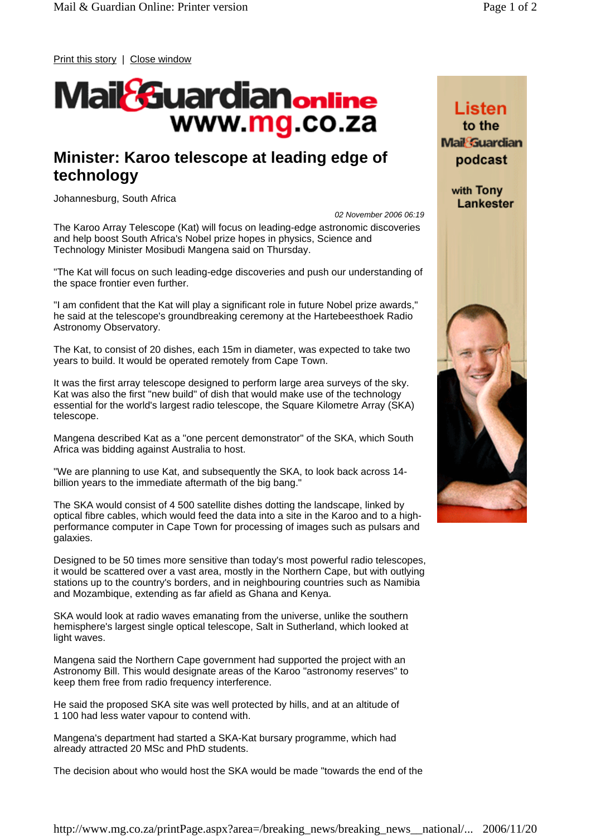Print this story | Close window

## **Mail &uardianonine** www.mg.co.za

## **Minister: Karoo telescope at leading edge of technology**

Johannesburg, South Africa

*02 November 2006 06:19*

The Karoo Array Telescope (Kat) will focus on leading-edge astronomic discoveries and help boost South Africa's Nobel prize hopes in physics, Science and Technology Minister Mosibudi Mangena said on Thursday.

"The Kat will focus on such leading-edge discoveries and push our understanding of the space frontier even further.

"I am confident that the Kat will play a significant role in future Nobel prize awards," he said at the telescope's groundbreaking ceremony at the Hartebeesthoek Radio Astronomy Observatory.

The Kat, to consist of 20 dishes, each 15m in diameter, was expected to take two years to build. It would be operated remotely from Cape Town.

It was the first array telescope designed to perform large area surveys of the sky. Kat was also the first "new build" of dish that would make use of the technology essential for the world's largest radio telescope, the Square Kilometre Array (SKA) telescope.

Mangena described Kat as a "one percent demonstrator" of the SKA, which South Africa was bidding against Australia to host.

"We are planning to use Kat, and subsequently the SKA, to look back across 14 billion years to the immediate aftermath of the big bang."

The SKA would consist of 4 500 satellite dishes dotting the landscape, linked by optical fibre cables, which would feed the data into a site in the Karoo and to a highperformance computer in Cape Town for processing of images such as pulsars and galaxies.

Designed to be 50 times more sensitive than today's most powerful radio telescopes, it would be scattered over a vast area, mostly in the Northern Cape, but with outlying stations up to the country's borders, and in neighbouring countries such as Namibia and Mozambique, extending as far afield as Ghana and Kenya.

SKA would look at radio waves emanating from the universe, unlike the southern hemisphere's largest single optical telescope, Salt in Sutherland, which looked at light waves.

Mangena said the Northern Cape government had supported the project with an Astronomy Bill. This would designate areas of the Karoo "astronomy reserves" to keep them free from radio frequency interference.

He said the proposed SKA site was well protected by hills, and at an altitude of 1 100 had less water vapour to contend with.

Mangena's department had started a SKA-Kat bursary programme, which had already attracted 20 MSc and PhD students.

The decision about who would host the SKA would be made "towards the end of the

Listen to the **Mail Guardian** podcast

> with Tony Lankester